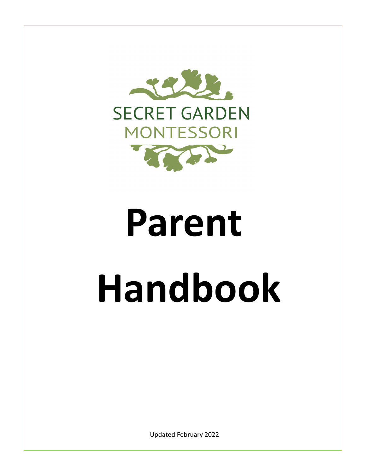

# **Parent Handbook**

Updated February 2022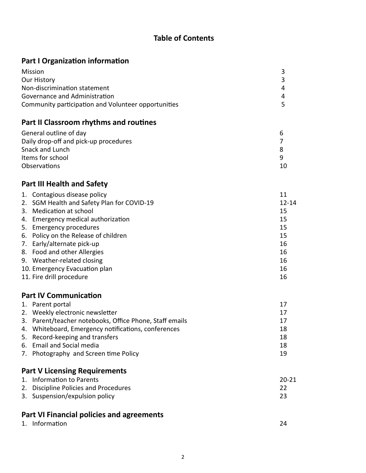# **Table of Contents**

# **Part I Organization information**

| Mission                                             |   |
|-----------------------------------------------------|---|
| Our History                                         |   |
| Non-discrimination statement                        | 4 |
| Governance and Administration                       | 4 |
| Community participation and Volunteer opportunities |   |

# **Part II Classroom rhythms and routines**

| General outline of day                |  |
|---------------------------------------|--|
| Daily drop-off and pick-up procedures |  |
| Snack and Lunch                       |  |
| Items for school                      |  |
| <b>Observations</b>                   |  |
|                                       |  |

# **Part III Health and Safety**

| 1. Contagious disease policy               | 11        |
|--------------------------------------------|-----------|
| 2. SGM Health and Safety Plan for COVID-19 | $12 - 14$ |
| 3. Medication at school                    | 15        |
| 4. Emergency medical authorization         | 15        |
| 5. Emergency procedures                    | 15        |
| 6. Policy on the Release of children       | 15        |
| 7. Early/alternate pick-up                 | 16        |
| 8. Food and other Allergies                | 16        |
| 9. Weather-related closing                 | 16        |
| 10. Emergency Evacuation plan              | 16        |
| 11. Fire drill procedure                   | 16        |

# **Part IV Communication**

| 1. Parent portal                                        | 17 |
|---------------------------------------------------------|----|
| 2. Weekly electronic newsletter                         | 17 |
| 3. Parent/teacher notebooks, Office Phone, Staff emails | 17 |
| 4. Whiteboard, Emergency notifications, conferences     | 18 |
| 5. Record-keeping and transfers                         | 18 |
| 6. Email and Social media                               | 18 |
| 7. Photography and Screen time Policy                   | 19 |

# **Part V Licensing Requirements**

| 1. Information to Parents             | $20 - 21$ |
|---------------------------------------|-----------|
| 2. Discipline Policies and Procedures |           |
| 3. Suspension/expulsion policy        |           |

# **Part VI Financial policies and agreements**

|  | 1. Information |  |  |
|--|----------------|--|--|
|  |                |  |  |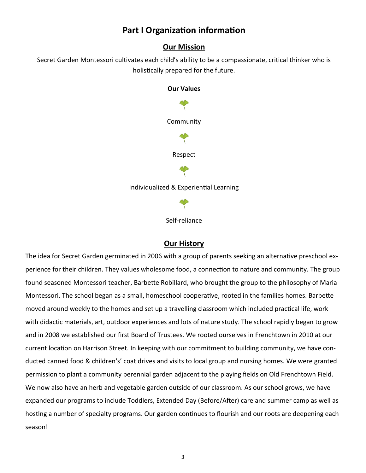# **Part I Organization information**

# **Our Mission**

Secret Garden Montessori cultivates each child's ability to be a compassionate, critical thinker who is holistically prepared for the future.



Self-reliance

# **Our History**

The idea for Secret Garden germinated in 2006 with a group of parents seeking an alternative preschool experience for their children. They values wholesome food, a connection to nature and community. The group found seasoned Montessori teacher, Barbette Robillard, who brought the group to the philosophy of Maria Montessori. The school began as a small, homeschool cooperative, rooted in the families homes. Barbette moved around weekly to the homes and set up a travelling classroom which included practical life, work with didactic materials, art, outdoor experiences and lots of nature study. The school rapidly began to grow and in 2008 we established our first Board of Trustees. We rooted ourselves in Frenchtown in 2010 at our current location on Harrison Street. In keeping with our commitment to building community, we have conducted canned food & children's' coat drives and visits to local group and nursing homes. We were granted permission to plant a community perennial garden adjacent to the playing fields on Old Frenchtown Field. We now also have an herb and vegetable garden outside of our classroom. As our school grows, we have expanded our programs to include Toddlers, Extended Day (Before/After) care and summer camp as well as hosting a number of specialty programs. Our garden continues to flourish and our roots are deepening each season!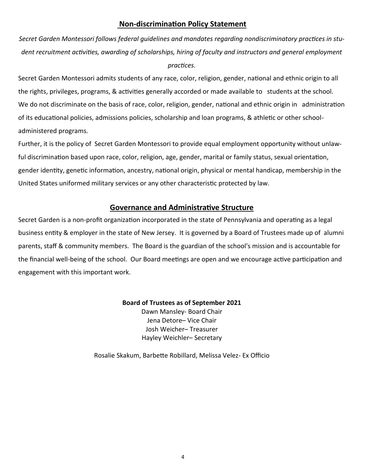# **Non-discrimination Policy Statement**

*Secret Garden Montessori follows federal guidelines and mandates regarding nondiscriminatory practices in student recruitment activities, awarding of scholarships, hiring of faculty and instructors and general employment practices.*

Secret Garden Montessori admits students of any race, color, religion, gender, national and ethnic origin to all the rights, privileges, programs, & activities generally accorded or made available to students at the school. We do not discriminate on the basis of race, color, religion, gender, national and ethnic origin in administration of its educational policies, admissions policies, scholarship and loan programs, & athletic or other schooladministered programs.

Further, it is the policy of Secret Garden Montessori to provide equal employment opportunity without unlawful discrimination based upon race, color, religion, age, gender, marital or family status, sexual orientation, gender identity, genetic information, ancestry, national origin, physical or mental handicap, membership in the United States uniformed military services or any other characteristic protected by law.

# **Governance and Administrative Structure**

Secret Garden is a non-profit organization incorporated in the state of Pennsylvania and operating as a legal business entity & employer in the state of New Jersey. It is governed by a Board of Trustees made up of alumni parents, staff & community members. The Board is the guardian of the school's mission and is accountable for the financial well-being of the school. Our Board meetings are open and we encourage active participation and engagement with this important work.

# **Board of Trustees as of September 2021**

Dawn Mansley- Board Chair Jena Detore– Vice Chair Josh Weicher– Treasurer Hayley Weichler– Secretary

Rosalie Skakum, Barbette Robillard, Melissa Velez- Ex Officio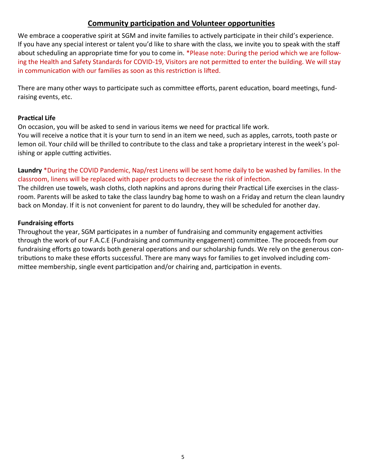# **Community participation and Volunteer opportunities**

We embrace a cooperative spirit at SGM and invite families to actively participate in their child's experience. If you have any special interest or talent you'd like to share with the class, we invite you to speak with the staff about scheduling an appropriate time for you to come in. \*Please note: During the period which we are following the Health and Safety Standards for COVID-19, Visitors are not permitted to enter the building. We will stay in communication with our families as soon as this restriction is lifted.

There are many other ways to participate such as committee efforts, parent education, board meetings, fundraising events, etc.

# **Practical Life**

On occasion, you will be asked to send in various items we need for practical life work. You will receive a notice that it is your turn to send in an item we need, such as apples, carrots, tooth paste or lemon oil. Your child will be thrilled to contribute to the class and take a proprietary interest in the week's polishing or apple cutting activities.

**Laundry** \*During the COVID Pandemic, Nap/rest Linens will be sent home daily to be washed by families. In the classroom, linens will be replaced with paper products to decrease the risk of infection.

The children use towels, wash cloths, cloth napkins and aprons during their Practical Life exercises in the classroom. Parents will be asked to take the class laundry bag home to wash on a Friday and return the clean laundry back on Monday. If it is not convenient for parent to do laundry, they will be scheduled for another day.

#### **Fundraising efforts**

Throughout the year, SGM participates in a number of fundraising and community engagement activities through the work of our F.A.C.E (Fundraising and community engagement) committee. The proceeds from our fundraising efforts go towards both general operations and our scholarship funds. We rely on the generous contributions to make these efforts successful. There are many ways for families to get involved including committee membership, single event participation and/or chairing and, participation in events.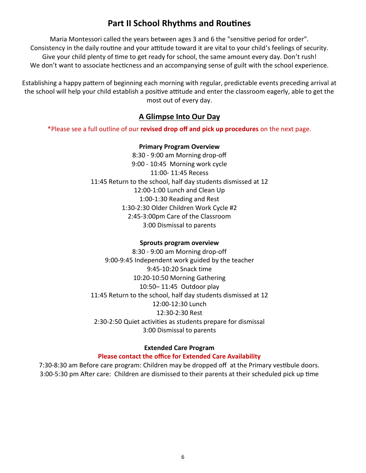# **Part II School Rhythms and Routines**

Maria Montessori called the years between ages 3 and 6 the "sensitive period for order". Consistency in the daily routine and your attitude toward it are vital to your child's feelings of security. Give your child plenty of time to get ready for school, the same amount every day. Don't rush! We don't want to associate hecticness and an accompanying sense of guilt with the school experience.

Establishing a happy pattern of beginning each morning with regular, predictable events preceding arrival at the school will help your child establish a positive attitude and enter the classroom eagerly, able to get the most out of every day.

# **A Glimpse Into Our Day**

\*Please see a full outline of our **revised drop off and pick up procedures** on the next page.

#### **Primary Program Overview**

8:30 - 9:00 am Morning drop-off 9:00 - 10:45 Morning work cycle 11:00- 11:45 Recess 11:45 Return to the school, half day students dismissed at 12 12:00-1:00 Lunch and Clean Up 1:00-1:30 Reading and Rest 1:30-2:30 Older Children Work Cycle #2 2:45-3:00pm Care of the Classroom 3:00 Dismissal to parents

#### **Sprouts program overview**

8:30 - 9:00 am Morning drop-off 9:00-9:45 Independent work guided by the teacher 9:45-10:20 Snack time 10:20-10:50 Morning Gathering 10:50– 11:45 Outdoor play 11:45 Return to the school, half day students dismissed at 12 12:00-12:30 Lunch 12:30-2:30 Rest 2:30-2:50 Quiet activities as students prepare for dismissal 3:00 Dismissal to parents

# **Extended Care Program**

#### **Please contact the office for Extended Care Availability**

7:30-8:30 am Before care program: Children may be dropped off at the Primary vestibule doors. 3:00-5:30 pm After care: Children are dismissed to their parents at their scheduled pick up time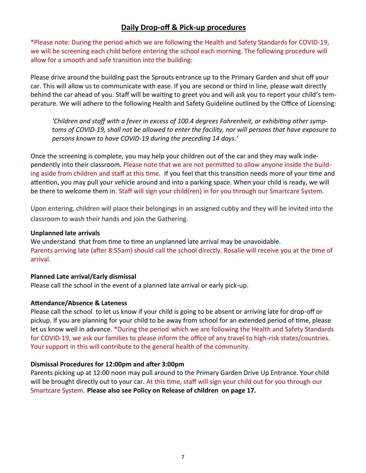# **Daily Drop-off & Pick-up procedures**

\*Please note: During the period which we are following the Health and Safety Standards for COVID-19, we will be screening each child before entering the school each morning. The following procedure will allow for a smooth and safe transition into the building:

Please drive around the building past the Sprouts entrance up to the Primary Garden and shut off your car. This will allow us to communicate with ease. If you are second or third in line, please wait directly behind the car ahead of you. Staff will be waiting to greet you and will ask you to report your child's temperature. We will adhere to the following Health and Safety Guideline outlined by the Office of Licensing:

*'Children and staff with a fever in excess of 100.4 degrees Fahrenheit, or exhibiting other symptoms of COVID-19, shall not be allowed to enter the facility, nor will persons that have exposure to persons known to have COVID-19 during the preceding 14 days.'*

Once the screening is complete, you may help your children out of the car and they may walk independently into their classroom. Please note that we are not permitted to allow anyone inside the building aside from children and staff at this time. If you feel that this transition needs more of your time and attention, you may pull your vehicle around and into a parking space. When your child is ready, we will be there to welcome them in. Staff will sign your child(ren) in for you through our Smartcare System.

Upon entering, children will place their belongings in an assigned cubby and they will be invited into the classroom to wash their hands and join the Gathering.

#### **Unplanned late arrivals**

We understand that from time to time an unplanned late arrival may be unavoidable. Parents arriving late (after 8:55am) should call the school directly. Rosalie will receive you at the time of arrival.

# **Planned Late arrival/Early dismissal**

Please call the school in the event of a planned late arrival or early pick-up.

# **Attendance/Absence & Lateness**

Please call the school to let us know if your child is going to be absent or arriving late for drop-off or pickup. If you are planning for your child to be away from school for an extended period of time, please let us know well in advance. \*During the period which we are following the Health and Safety Standards for COVID-19, we ask our families to please inform the office of any travel to high-risk states/countries. Your support in this will contribute to the general health of the community.

# **Dismissal Procedures for 12:00pm and after 3:00pm**

Parents picking up at 12:00 noon may pull around to the Primary Garden Drive Up Entrance. Your child will be brought directly out to your car. At this time, staff will sign your child out for you through our Smartcare System. **Please also see Policy on Release of children on page 17.**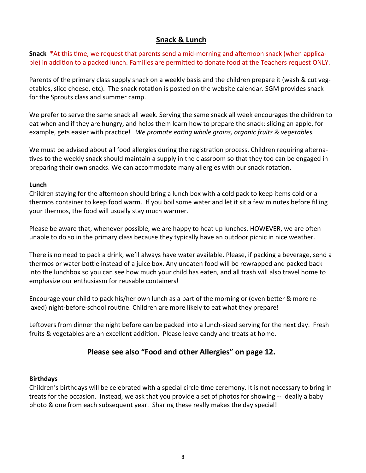# **Snack & Lunch**

**Snack** \*At this time, we request that parents send a mid-morning and afternoon snack (when applicable) in addition to a packed lunch. Families are permitted to donate food at the Teachers request ONLY.

Parents of the primary class supply snack on a weekly basis and the children prepare it (wash & cut vegetables, slice cheese, etc). The snack rotation is posted on the website calendar. SGM provides snack for the Sprouts class and summer camp.

We prefer to serve the same snack all week. Serving the same snack all week encourages the children to eat when and if they are hungry, and helps them learn how to prepare the snack: slicing an apple, for example, gets easier with practice! *We promote eating whole grains, organic fruits & vegetables.* 

We must be advised about all food allergies during the registration process. Children requiring alternatives to the weekly snack should maintain a supply in the classroom so that they too can be engaged in preparing their own snacks. We can accommodate many allergies with our snack rotation.

#### **Lunch**

Children staying for the afternoon should bring a lunch box with a cold pack to keep items cold or a thermos container to keep food warm. If you boil some water and let it sit a few minutes before filling your thermos, the food will usually stay much warmer.

Please be aware that, whenever possible, we are happy to heat up lunches. HOWEVER, we are often unable to do so in the primary class because they typically have an outdoor picnic in nice weather.

There is no need to pack a drink, we'll always have water available. Please, if packing a beverage, send a thermos or water bottle instead of a juice box. Any uneaten food will be rewrapped and packed back into the lunchbox so you can see how much your child has eaten, and all trash will also travel home to emphasize our enthusiasm for reusable containers!

Encourage your child to pack his/her own lunch as a part of the morning or (even better & more relaxed) night-before-school routine. Children are more likely to eat what they prepare!

Leftovers from dinner the night before can be packed into a lunch-sized serving for the next day. Fresh fruits & vegetables are an excellent addition. Please leave candy and treats at home.

# **Please see also "Food and other Allergies" on page 12.**

# **Birthdays**

Children's birthdays will be celebrated with a special circle time ceremony. It is not necessary to bring in treats for the occasion. Instead, we ask that you provide a set of photos for showing -- ideally a baby photo & one from each subsequent year. Sharing these really makes the day special!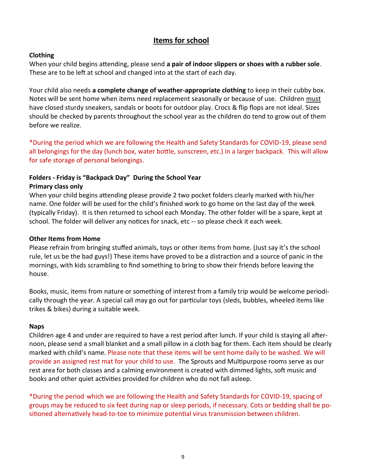# **Items for school**

# **Clothing**

When your child begins attending, please send **a pair of indoor slippers or shoes with a rubber sole**. These are to be left at school and changed into at the start of each day.

Your child also needs **a complete change of weather-appropriate clothing** to keep in their cubby box. Notes will be sent home when items need replacement seasonally or because of use. Children must have closed sturdy sneakers, sandals or boots for outdoor play. Crocs & flip flops are not ideal. Sizes should be checked by parents throughout the school year as the children do tend to grow out of them before we realize.

\*During the period which we are following the Health and Safety Standards for COVID-19, please send all belongings for the day (lunch box, water bottle, sunscreen, etc.) in a larger backpack. This will allow for safe storage of personal belongings.

# **Folders - Friday is "Backpack Day" During the School Year Primary class only**

When your child begins attending please provide 2 two pocket folders clearly marked with his/her name. One folder will be used for the child's finished work to go home on the last day of the week (typically Friday). It is then returned to school each Monday. The other folder will be a spare, kept at school. The folder will deliver any notices for snack, etc -- so please check it each week.

# **Other Items from Home**

Please refrain from bringing stuffed animals, toys or other items from home. (Just say it's the school rule, let us be the bad guys!) These items have proved to be a distraction and a source of panic in the mornings, with kids scrambling to find something to bring to show their friends before leaving the house.

Books, music, items from nature or something of interest from a family trip would be welcome periodically through the year. A special call may go out for particular toys (sleds, bubbles, wheeled items like trikes & bikes) during a suitable week.

# **Naps**

Children age 4 and under are required to have a rest period after lunch. If your child is staying all afternoon, please send a small blanket and a small pillow in a cloth bag for them. Each item should be clearly marked with child's name. Please note that these items will be sent home daily to be washed. We will provide an assigned rest mat for your child to use. The Sprouts and Multipurpose rooms serve as our rest area for both classes and a calming environment is created with dimmed lights, soft music and books and other quiet activities provided for children who do not fall asleep.

\*During the period which we are following the Health and Safety Standards for COVID-19, spacing of groups may be reduced to six feet during nap or sleep periods, if necessary. Cots or bedding shall be positioned alternatively head-to-toe to minimize potential virus transmission between children.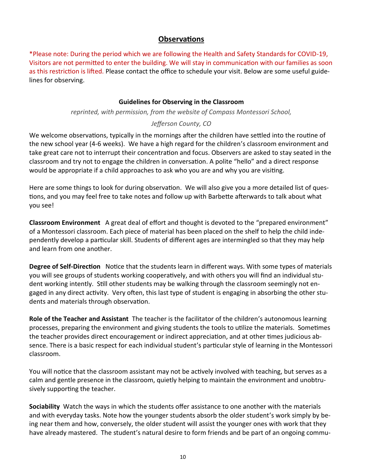# **Observations**

\*Please note: During the period which we are following the Health and Safety Standards for COVID-19, Visitors are not permitted to enter the building. We will stay in communication with our families as soon as this restriction is lifted. Please contact the office to schedule your visit. Below are some useful guidelines for observing.

# **Guidelines for Observing in the Classroom**

*reprinted, with permission, from the website of Compass Montessori School,* 

# *Jefferson County, CO*

We welcome observations, typically in the mornings after the children have settled into the routine of the new school year (4-6 weeks). We have a high regard for the children's classroom environment and take great care not to interrupt their concentration and focus. Observers are asked to stay seated in the classroom and try not to engage the children in conversation. A polite "hello" and a direct response would be appropriate if a child approaches to ask who you are and why you are visiting.

Here are some things to look for during observation. We will also give you a more detailed list of questions, and you may feel free to take notes and follow up with Barbette afterwards to talk about what you see!

**Classroom Environment** A great deal of effort and thought is devoted to the "prepared environment" of a Montessori classroom. Each piece of material has been placed on the shelf to help the child independently develop a particular skill. Students of different ages are intermingled so that they may help and learn from one another.

**Degree of Self-Direction** Notice that the students learn in different ways. With some types of materials you will see groups of students working cooperatively, and with others you will find an individual student working intently. Still other students may be walking through the classroom seemingly not engaged in any direct activity. Very often, this last type of student is engaging in absorbing the other students and materials through observation.

**Role of the Teacher and Assistant** The teacher is the facilitator of the children's autonomous learning processes, preparing the environment and giving students the tools to utilize the materials. Sometimes the teacher provides direct encouragement or indirect appreciation, and at other times judicious absence. There is a basic respect for each individual student's particular style of learning in the Montessori classroom.

You will notice that the classroom assistant may not be actively involved with teaching, but serves as a calm and gentle presence in the classroom, quietly helping to maintain the environment and unobtrusively supporting the teacher.

**Sociability** Watch the ways in which the students offer assistance to one another with the materials and with everyday tasks. Note how the younger students absorb the older student's work simply by being near them and how, conversely, the older student will assist the younger ones with work that they have already mastered. The student's natural desire to form friends and be part of an ongoing commu-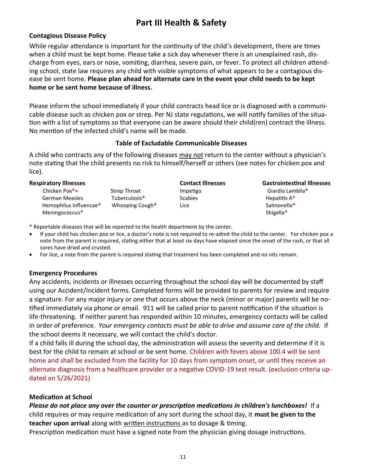# **Part III Health & Safety**

# **Contagious Disease Policy**

While regular attendance is important for the continuity of the child's development, there are times when a child must be kept home. Please take a sick day whenever there is an unexplained rash, discharge from eyes, ears or nose, vomiting, diarrhea, severe pain, or fever. To protect all children attending school, state law requires any child with visible symptoms of what appears to be a contagious disease be sent home. **Please plan ahead for alternate care in the event your child needs to be kept home or be sent home because of illness.**

Please inform the school immediately if your child contracts head lice or is diagnosed with a communicable disease such as chicken pox or strep. Per NJ state regulations, we will notify families of the situation with a list of symptoms so that everyone can be aware should their child(ren) contract the illness. No mention of the infected child's name will be made.

#### **Table of Excludable Communicable Diseases**

A child who contracts any of the following diseases may not return to the center without a physician's note stating that the child presents no risk to himself/herself or others (see notes for chicken pox and lice).

| <b>Respiratory Illnesses</b> |                     | <b>Contact Illnesses</b> | <b>Gastrointestinal Illnesses</b> |
|------------------------------|---------------------|--------------------------|-----------------------------------|
| Chicken Pox <sup>*</sup> +   | <b>Strep Throat</b> | Impetigo                 | Giardia Lamblia*                  |
| <b>German Measles</b>        | Tuberculosis*       | <b>Scabies</b>           | Hepatitis $A^*$                   |
| Hemophilus Influenzae*       | Whooping Cough*     | Lice                     | Salmonella*                       |
| Meningococcus*               |                     |                          | Shigella*                         |

**\*** Reportable diseases that will be reported to the health department by the center.

- If your child has chicken pox or lice, a doctor's note is not required to re-admit the child to the center. For chicken pox a note from the parent is required, stating either that at least six days have elapsed since the onset of the rash, or that all sores have dried and crusted.
- For lice, a note from the parent is required stating that treatment has been completed and no nits remain.

# **Emergency Procedures**

Any accidents, incidents or illnesses occurring throughout the school day will be documented by staff using our Accident/Incident forms. Completed forms will be provided to parents for review and require a signature. For any major injury or one that occurs above the neck (minor or major) parents will be notified immediately via phone or email. 911 will be called prior to parent notification if the situation is life-threatening. If neither parent has responded within 10 minutes, emergency contacts will be called in order of preference. *Your emergency contacts must be able to drive and assume care of the child.* If the school deems it necessary, we will contact the child's doctor.

If a child falls ill during the school day, the administration will assess the severity and determine if it is best for the child to remain at school or be sent home. Children with fevers above 100.4 will be sent home and shall be excluded from the facility for 10 days from symptom onset, or until they receive an alternate diagnosis from a healthcare provider or a negative COVID-19 test result. (exclusion criteria updated on 5/26/2021)

#### **Medication at School**

*Please do not place any over the counter or prescription medications in children's lunchboxes!* If a child requires or may require medication of any sort during the school day, it **must be given to the teacher upon arrival** along with written instructions as to dosage & timing.

Prescription medication must have a signed note from the physician giving dosage instructions.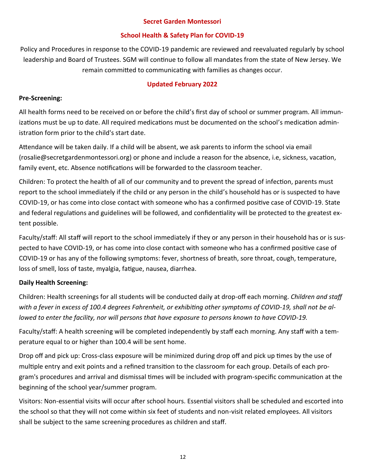#### **Secret Garden Montessori**

# **School Health & Safety Plan for COVID-19**

Policy and Procedures in response to the COVID-19 pandemic are reviewed and reevaluated regularly by school leadership and Board of Trustees. SGM will continue to follow all mandates from the state of New Jersey. We remain committed to communicating with families as changes occur.

# **Updated February 2022**

# **Pre-Screening:**

All health forms need to be received on or before the child's first day of school or summer program. All immunizations must be up to date. All required medications must be documented on the school's medication administration form prior to the child's start date.

Attendance will be taken daily. If a child will be absent, we ask parents to inform the school via email (rosalie@secretgardenmontessori.org) or phone and include a reason for the absence, i.e, sickness, vacation, family event, etc. Absence notifications will be forwarded to the classroom teacher.

Children: To protect the health of all of our community and to prevent the spread of infection, parents must report to the school immediately if the child or any person in the child's household has or is suspected to have COVID-19, or has come into close contact with someone who has a confirmed positive case of COVID-19. State and federal regulations and guidelines will be followed, and confidentiality will be protected to the greatest extent possible.

Faculty/staff: All staff will report to the school immediately if they or any person in their household has or is suspected to have COVID-19, or has come into close contact with someone who has a confirmed positive case of COVID-19 or has any of the following symptoms: fever, shortness of breath, sore throat, cough, temperature, loss of smell, loss of taste, myalgia, fatigue, nausea, diarrhea.

# **Daily Health Screening:**

Children: Health screenings for all students will be conducted daily at drop-off each morning. *Children and staff with a fever in excess of 100.4 degrees Fahrenheit, or exhibiting other symptoms of COVID-19, shall not be allowed to enter the facility, nor will persons that have exposure to persons known to have COVID-19.*

Faculty/staff: A health screening will be completed independently by staff each morning. Any staff with a temperature equal to or higher than 100.4 will be sent home.

Drop off and pick up: Cross-class exposure will be minimized during drop off and pick up times by the use of multiple entry and exit points and a refined transition to the classroom for each group. Details of each program's procedures and arrival and dismissal times will be included with program-specific communication at the beginning of the school year/summer program.

Visitors: Non-essential visits will occur after school hours. Essential visitors shall be scheduled and escorted into the school so that they will not come within six feet of students and non-visit related employees. All visitors shall be subject to the same screening procedures as children and staff.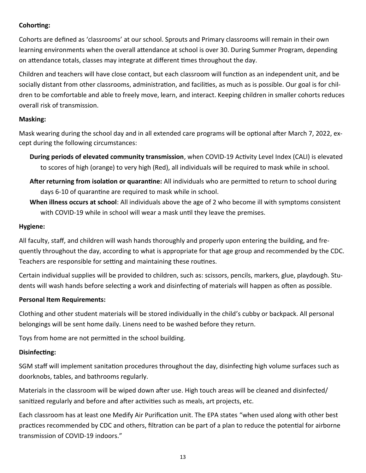# **Cohorting:**

Cohorts are defined as 'classrooms' at our school. Sprouts and Primary classrooms will remain in their own learning environments when the overall attendance at school is over 30. During Summer Program, depending on attendance totals, classes may integrate at different times throughout the day.

Children and teachers will have close contact, but each classroom will function as an independent unit, and be socially distant from other classrooms, administration, and facilities, as much as is possible. Our goal is for children to be comfortable and able to freely move, learn, and interact. Keeping children in smaller cohorts reduces overall risk of transmission.

# **Masking:**

Mask wearing during the school day and in all extended care programs will be optional after March 7, 2022, except during the following circumstances:

- **During periods of elevated community transmission**, when COVID-19 Activity Level Index (CALI) is elevated to scores of high (orange) to very high (Red), all individuals will be required to mask while in school.
- **After returning from isolation or quarantine:** All individuals who are permitted to return to school during days 6-10 of quarantine are required to mask while in school.
- **When illness occurs at school**: All individuals above the age of 2 who become ill with symptoms consistent with COVID-19 while in school will wear a mask until they leave the premises.

# **Hygiene:**

All faculty, staff, and children will wash hands thoroughly and properly upon entering the building, and frequently throughout the day, according to what is appropriate for that age group and recommended by the CDC. Teachers are responsible for setting and maintaining these routines.

Certain individual supplies will be provided to children, such as: scissors, pencils, markers, glue, playdough. Students will wash hands before selecting a work and disinfecting of materials will happen as often as possible.

# **Personal Item Requirements:**

Clothing and other student materials will be stored individually in the child's cubby or backpack. All personal belongings will be sent home daily. Linens need to be washed before they return.

Toys from home are not permitted in the school building.

# **Disinfecting:**

SGM staff will implement sanitation procedures throughout the day, disinfecting high volume surfaces such as doorknobs, tables, and bathrooms regularly.

Materials in the classroom will be wiped down after use. High touch areas will be cleaned and disinfected/ sanitized regularly and before and after activities such as meals, art projects, etc.

Each classroom has at least one Medify Air Purification unit. The EPA states "when used along with other best practices recommended by CDC and others, filtration can be part of a plan to reduce the potential for airborne transmission of COVID-19 indoors."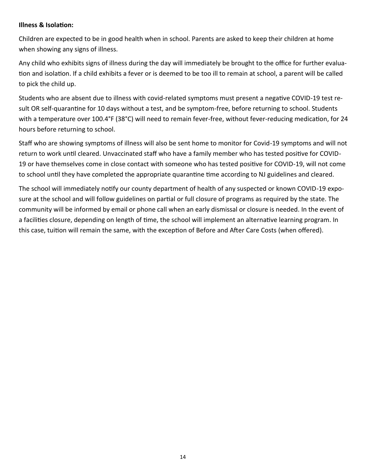#### **Illness & Isolation:**

Children are expected to be in good health when in school. Parents are asked to keep their children at home when showing any signs of illness.

Any child who exhibits signs of illness during the day will immediately be brought to the office for further evaluation and isolation. If a child exhibits a fever or is deemed to be too ill to remain at school, a parent will be called to pick the child up.

Students who are absent due to illness with covid-related symptoms must present a negative COVID-19 test result OR self-quarantine for 10 days without a test, and be symptom-free, before returning to school. Students with a temperature over 100.4°F (38°C) will need to remain fever-free, without fever-reducing medication, for 24 hours before returning to school.

Staff who are showing symptoms of illness will also be sent home to monitor for Covid-19 symptoms and will not return to work until cleared. Unvaccinated staff who have a family member who has tested positive for COVID-19 or have themselves come in close contact with someone who has tested positive for COVID-19, will not come to school until they have completed the appropriate quarantine time according to NJ guidelines and cleared.

The school will immediately notify our county department of health of any suspected or known COVID-19 exposure at the school and will follow guidelines on partial or full closure of programs as required by the state. The community will be informed by email or phone call when an early dismissal or closure is needed. In the event of a facilities closure, depending on length of time, the school will implement an alternative learning program. In this case, tuition will remain the same, with the exception of Before and After Care Costs (when offered).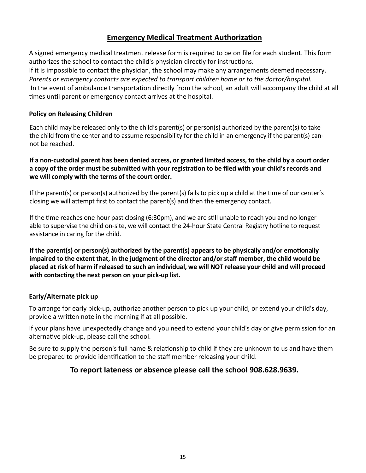# **Emergency Medical Treatment Authorization**

A signed emergency medical treatment release form is required to be on file for each student. This form authorizes the school to contact the child's physician directly for instructions.

If it is impossible to contact the physician, the school may make any arrangements deemed necessary. *Parents or emergency contacts are expected to transport children home or to the doctor/hospital.*  In the event of ambulance transportation directly from the school, an adult will accompany the child at all times until parent or emergency contact arrives at the hospital.

# **Policy on Releasing Children**

Each child may be released only to the child's parent(s) or person(s) authorized by the parent(s) to take the child from the center and to assume responsibility for the child in an emergency if the parent(s) cannot be reached.

#### **If a non-custodial parent has been denied access, or granted limited access, to the child by a court order a copy of the order must be submitted with your registration to be filed with your child's records and we will comply with the terms of the court order.**

If the parent(s) or person(s) authorized by the parent(s) fails to pick up a child at the time of our center's closing we will attempt first to contact the parent(s) and then the emergency contact.

If the time reaches one hour past closing (6:30pm), and we are still unable to reach you and no longer able to supervise the child on-site, we will contact the 24-hour State Central Registry hotline to request assistance in caring for the child.

**If the parent(s) or person(s) authorized by the parent(s) appears to be physically and/or emotionally impaired to the extent that, in the judgment of the director and/or staff member, the child would be placed at risk of harm if released to such an individual, we will NOT release your child and will proceed with contacting the next person on your pick-up list.**

# **Early/Alternate pick up**

To arrange for early pick-up, authorize another person to pick up your child, or extend your child's day, provide a written note in the morning if at all possible.

If your plans have unexpectedly change and you need to extend your child's day or give permission for an alternative pick-up, please call the school.

Be sure to supply the person's full name & relationship to child if they are unknown to us and have them be prepared to provide identification to the staff member releasing your child.

# **To report lateness or absence please call the school 908.628.9639.**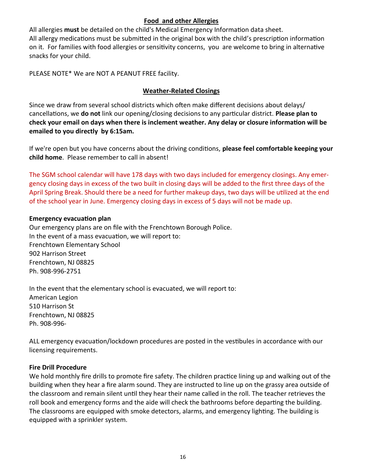## **Food and other Allergies**

All allergies **must** be detailed on the child's Medical Emergency Information data sheet. All allergy medications must be submitted in the original box with the child's prescription information on it. For families with food allergies or sensitivity concerns, you are welcome to bring in alternative snacks for your child.

PLEASE NOTE\* We are NOT A PEANUT FREE facility.

## **Weather-Related Closings**

Since we draw from several school districts which often make different decisions about delays/ cancellations, we **do not** link our opening/closing decisions to any particular district. **Please plan to check your email on days when there is inclement weather. Any delay or closure information will be emailed to you directly by 6:15am.**

If we're open but you have concerns about the driving conditions, **please feel comfortable keeping your child home**. Please remember to call in absent!

The SGM school calendar will have 178 days with two days included for emergency closings. Any emergency closing days in excess of the two built in closing days will be added to the first three days of the April Spring Break. Should there be a need for further makeup days, two days will be utilized at the end of the school year in June. Emergency closing days in excess of 5 days will not be made up.

#### **Emergency evacuation plan**

Our emergency plans are on file with the Frenchtown Borough Police. In the event of a mass evacuation, we will report to: Frenchtown Elementary School 902 Harrison Street Frenchtown, NJ 08825 Ph. 908-996-2751

In the event that the elementary school is evacuated, we will report to: American Legion 510 Harrison St Frenchtown, NJ 08825 Ph. 908-996-

ALL emergency evacuation/lockdown procedures are posted in the vestibules in accordance with our licensing requirements.

#### **Fire Drill Procedure**

We hold monthly fire drills to promote fire safety. The children practice lining up and walking out of the building when they hear a fire alarm sound. They are instructed to line up on the grassy area outside of the classroom and remain silent until they hear their name called in the roll. The teacher retrieves the roll book and emergency forms and the aide will check the bathrooms before departing the building. The classrooms are equipped with smoke detectors, alarms, and emergency lighting. The building is equipped with a sprinkler system.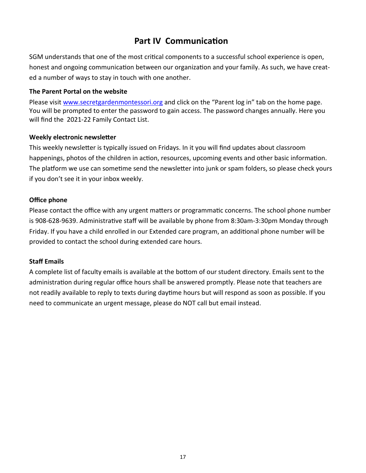# **Part IV Communication**

SGM understands that one of the most critical components to a successful school experience is open, honest and ongoing communication between our organization and your family. As such, we have created a number of ways to stay in touch with one another.

#### **The Parent Portal on the website**

Please visit [www.secretgardenmontessori.org](http://www.secretgardenmontessori.org) and click on the "Parent log in" tab on the home page. You will be prompted to enter the password to gain access. The password changes annually. Here you will find the 2021-22 Family Contact List.

#### **Weekly electronic newsletter**

This weekly newsletter is typically issued on Fridays. In it you will find updates about classroom happenings, photos of the children in action, resources, upcoming events and other basic information. The platform we use can sometime send the newsletter into junk or spam folders, so please check yours if you don't see it in your inbox weekly.

# **Office phone**

Please contact the office with any urgent matters or programmatic concerns. The school phone number is 908-628-9639. Administrative staff will be available by phone from 8:30am-3:30pm Monday through Friday. If you have a child enrolled in our Extended care program, an additional phone number will be provided to contact the school during extended care hours.

# **Staff Emails**

A complete list of faculty emails is available at the bottom of our student directory. Emails sent to the administration during regular office hours shall be answered promptly. Please note that teachers are not readily available to reply to texts during daytime hours but will respond as soon as possible. If you need to communicate an urgent message, please do NOT call but email instead.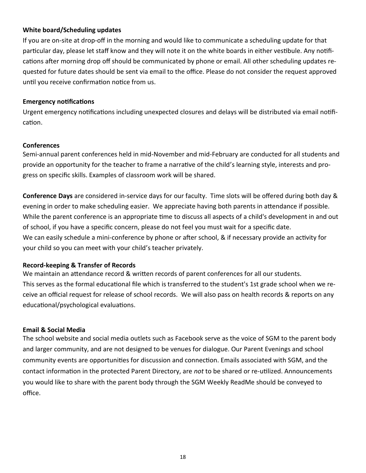#### **White board/Scheduling updates**

If you are on-site at drop-off in the morning and would like to communicate a scheduling update for that particular day, please let staff know and they will note it on the white boards in either vestibule. Any notifications after morning drop off should be communicated by phone or email. All other scheduling updates requested for future dates should be sent via email to the office. Please do not consider the request approved until you receive confirmation notice from us.

#### **Emergency notifications**

Urgent emergency notifications including unexpected closures and delays will be distributed via email notification.

#### **Conferences**

Semi-annual parent conferences held in mid-November and mid-February are conducted for all students and provide an opportunity for the teacher to frame a narrative of the child's learning style, interests and progress on specific skills. Examples of classroom work will be shared.

**Conference Days** are considered in-service days for our faculty. Time slots will be offered during both day & evening in order to make scheduling easier. We appreciate having both parents in attendance if possible. While the parent conference is an appropriate time to discuss all aspects of a child's development in and out of school, if you have a specific concern, please do not feel you must wait for a specific date. We can easily schedule a mini-conference by phone or after school, & if necessary provide an activity for your child so you can meet with your child's teacher privately.

#### **Record-keeping & Transfer of Records**

We maintain an attendance record & written records of parent conferences for all our students. This serves as the formal educational file which is transferred to the student's 1st grade school when we receive an official request for release of school records. We will also pass on health records & reports on any educational/psychological evaluations.

#### **Email & Social Media**

The school website and social media outlets such as Facebook serve as the voice of SGM to the parent body and larger community, and are not designed to be venues for dialogue. Our Parent Evenings and school community events are opportunities for discussion and connection. Emails associated with SGM, and the contact information in the protected Parent Directory, are *not* to be shared or re-utilized. Announcements you would like to share with the parent body through the SGM Weekly ReadMe should be conveyed to office.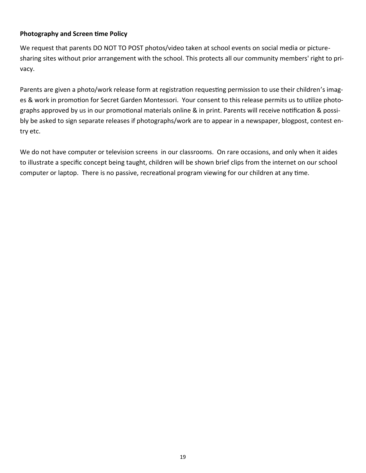#### **Photography and Screen time Policy**

We request that parents DO NOT TO POST photos/video taken at school events on social media or picturesharing sites without prior arrangement with the school. This protects all our community members' right to privacy.

Parents are given a photo/work release form at registration requesting permission to use their children's images & work in promotion for Secret Garden Montessori. Your consent to this release permits us to utilize photographs approved by us in our promotional materials online & in print. Parents will receive notification & possibly be asked to sign separate releases if photographs/work are to appear in a newspaper, blogpost, contest entry etc.

We do not have computer or television screens in our classrooms. On rare occasions, and only when it aides to illustrate a specific concept being taught, children will be shown brief clips from the internet on our school computer or laptop. There is no passive, recreational program viewing for our children at any time.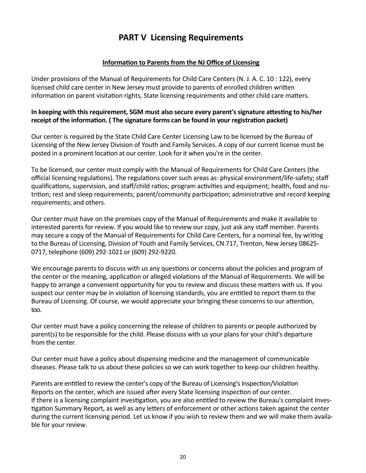# **PART V Licensing Requirements**

## **Information to Parents from the NJ Office of Licensing**

Under provisions of the Manual of Requirements for Child Care Centers (N. J. A. C. 10 : 122), every licensed child care center in New Jersey must provide to parents of enrolled children written information on parent visitation rights, State licensing requirements and other child care matters.

#### **In keeping with this requirement, SGM must also secure every parent's signature attesting to his/her receipt of the information. ( The signature forms can be found in your registration packet)**

Our center is required by the State Child Care Center Licensing Law to be licensed by the Bureau of Licensing of the New Jersey Division of Youth and Family Services. A copy of our current license must be posted in a prominent location at our center. Look for it when you're in the center.

To be licensed, our center must comply with the Manual of Requirements for Child Care Centers (the official licensing regulations). The regulations cover such areas as: physical environment/life-safety; staff qualifications, supervision, and staff/child ratios; program activities and equipment; health, food and nutrition; rest and sleep requirements; parent/community participation; administrative and record keeping requirements; and others.

Our center must have on the premises copy of the Manual of Requirements and make it available to interested parents for review. If you would like to review our copy, just ask any staff member. Parents may secure a copy of the Manual of Requirements for Child Care Centers, for a nominal fee, by writing to the Bureau of Licensing, Division of Youth and Family Services, CN 717, Trenton, New Jersey 08625- 0717, telephone (609) 292-1021 or (609) 292-9220.

We encourage parents to discuss with us any questions or concerns about the policies and program of the center or the meaning, application or alleged violations of the Manual of Requirements. We will be happy to arrange a convenient opportunity for you to review and discuss these matters with us. If you suspect our center may be in violation of licensing standards, you are entitled to report them to the Bureau of Licensing. Of course, we would appreciate your bringing these concerns to our attention, too.

Our center must have a policy concerning the release of children to parents or people authorized by parent(s) to be responsible for the child. Please discuss with us your plans for your child's departure from the center.

Our center must have a policy about dispensing medicine and the management of communicable diseases. Please talk to us about these policies so we can work together to keep our children healthy.

Parents are entitled to review the center's copy of the Bureau of Licensing's Inspection/Violation Reports on the center, which are issued after every State licensing inspection of our center. If there is a licensing complaint investigation, you are also entitled to review the Bureau's complaint Investigation Summary Report, as well as any letters of enforcement or other actions taken against the center during the current licensing period. Let us know if you wish to review them and we will make them available for your review.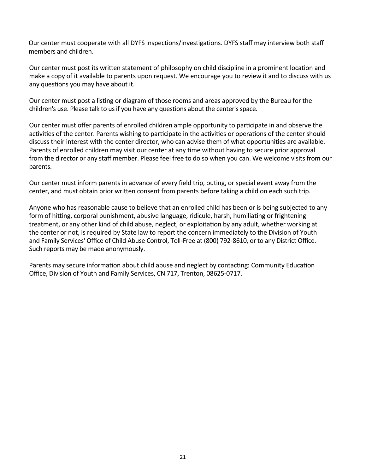Our center must cooperate with all DYFS inspections/investigations. DYFS staff may interview both staff members and children.

Our center must post its written statement of philosophy on child discipline in a prominent location and make a copy of it available to parents upon request. We encourage you to review it and to discuss with us any questions you may have about it.

Our center must post a listing or diagram of those rooms and areas approved by the Bureau for the children's use. Please talk to us if you have any questions about the center's space.

Our center must offer parents of enrolled children ample opportunity to participate in and observe the activities of the center. Parents wishing to participate in the activities or operations of the center should discuss their interest with the center director, who can advise them of what opportunities are available. Parents of enrolled children may visit our center at any time without having to secure prior approval from the director or any staff member. Please feel free to do so when you can. We welcome visits from our parents.

Our center must inform parents in advance of every field trip, outing, or special event away from the center, and must obtain prior written consent from parents before taking a child on each such trip.

Anyone who has reasonable cause to believe that an enrolled child has been or is being subjected to any form of hitting, corporal punishment, abusive language, ridicule, harsh, humiliating or frightening treatment, or any other kind of child abuse, neglect, or exploitation by any adult, whether working at the center or not, is required by State law to report the concern immediately to the Division of Youth and Family Services' Office of Child Abuse Control, Toll-Free at (800) 792-8610, or to any District Office. Such reports may be made anonymously.

Parents may secure information about child abuse and neglect by contacting: Community Education Office, Division of Youth and Family Services, CN 717, Trenton, 08625-0717.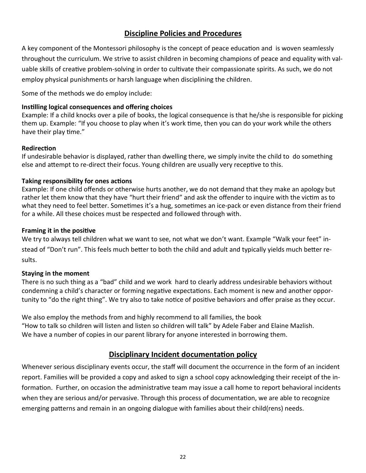# **Discipline Policies and Procedures**

A key component of the Montessori philosophy is the concept of peace education and is woven seamlessly throughout the curriculum. We strive to assist children in becoming champions of peace and equality with valuable skills of creative problem-solving in order to cultivate their compassionate spirits. As such, we do not employ physical punishments or harsh language when disciplining the children.

Some of the methods we do employ include:

#### **Instilling logical consequences and offering choices**

Example: If a child knocks over a pile of books, the logical consequence is that he/she is responsible for picking them up. Example: "If you choose to play when it's work time, then you can do your work while the others have their play time."

#### **Redirection**

If undesirable behavior is displayed, rather than dwelling there, we simply invite the child to do something else and attempt to re-direct their focus. Young children are usually very receptive to this.

#### **Taking responsibility for ones actions**

Example: If one child offends or otherwise hurts another, we do not demand that they make an apology but rather let them know that they have "hurt their friend" and ask the offender to inquire with the victim as to what they need to feel better. Sometimes it's a hug, sometimes an ice-pack or even distance from their friend for a while. All these choices must be respected and followed through with.

#### **Framing it in the positive**

We try to always tell children what we want to see, not what we don't want. Example "Walk your feet" instead of "Don't run". This feels much better to both the child and adult and typically yields much better results.

#### **Staying in the moment**

There is no such thing as a "bad" child and we work hard to clearly address undesirable behaviors without condemning a child's character or forming negative expectations. Each moment is new and another opportunity to "do the right thing". We try also to take notice of positive behaviors and offer praise as they occur.

We also employ the methods from and highly recommend to all families, the book "How to talk so children will listen and listen so children will talk" by Adele Faber and Elaine Mazlish. We have a number of copies in our parent library for anyone interested in borrowing them.

# **Disciplinary Incident documentation policy**

Whenever serious disciplinary events occur, the staff will document the occurrence in the form of an incident report. Families will be provided a copy and asked to sign a school copy acknowledging their receipt of the information. Further, on occasion the administrative team may issue a call home to report behavioral incidents when they are serious and/or pervasive. Through this process of documentation, we are able to recognize emerging patterns and remain in an ongoing dialogue with families about their child(rens) needs.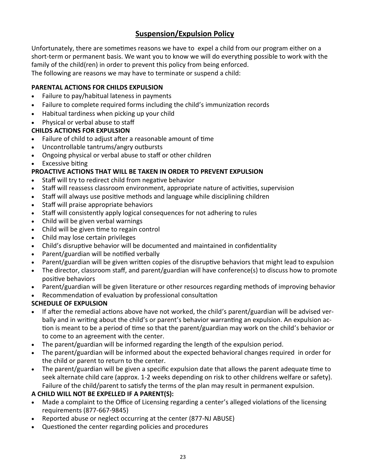# **Suspension/Expulsion Policy**

Unfortunately, there are sometimes reasons we have to expel a child from our program either on a short-term or permanent basis. We want you to know we will do everything possible to work with the family of the child(ren) in order to prevent this policy from being enforced.

The following are reasons we may have to terminate or suspend a child:

# **PARENTAL ACTIONS FOR CHILDS EXPULSION**

- Failure to pay/habitual lateness in payments
- Failure to complete required forms including the child's immunization records
- Habitual tardiness when picking up your child
- Physical or verbal abuse to staff

# **CHILDS ACTIONS FOR EXPULSION**

- Failure of child to adjust after a reasonable amount of time
- Uncontrollable tantrums/angry outbursts
- Ongoing physical or verbal abuse to staff or other children
- **Excessive biting**

# **PROACTIVE ACTIONS THAT WILL BE TAKEN IN ORDER TO PREVENT EXPULSION**

- Staff will try to redirect child from negative behavior
- Staff will reassess classroom environment, appropriate nature of activities, supervision
- Staff will always use positive methods and language while disciplining children
- Staff will praise appropriate behaviors
- Staff will consistently apply logical consequences for not adhering to rules
- Child will be given verbal warnings
- Child will be given time to regain control
- Child may lose certain privileges
- Child's disruptive behavior will be documented and maintained in confidentiality
- Parent/guardian will be notified verbally
- Parent/guardian will be given written copies of the disruptive behaviors that might lead to expulsion
- The director, classroom staff, and parent/guardian will have conference(s) to discuss how to promote positive behaviors
- Parent/guardian will be given literature or other resources regarding methods of improving behavior
- Recommendation of evaluation by professional consultation

# **SCHEDULE OF EXPULSION**

- If after the remedial actions above have not worked, the child's parent/guardian will be advised verbally and in writing about the child's or parent's behavior warranting an expulsion. An expulsion action is meant to be a period of time so that the parent/guardian may work on the child's behavior or to come to an agreement with the center.
- The parent/guardian will be informed regarding the length of the expulsion period.
- The parent/guardian will be informed about the expected behavioral changes required in order for the child or parent to return to the center.
- The parent/guardian will be given a specific expulsion date that allows the parent adequate time to seek alternate child care (approx. 1-2 weeks depending on risk to other childrens welfare or safety). Failure of the child/parent to satisfy the terms of the plan may result in permanent expulsion.

# **A CHILD WILL NOT BE EXPELLED IF A PARENT(S):**

- Made a complaint to the Office of Licensing regarding a center's alleged violations of the licensing requirements (877-667-9845)
- Reported abuse or neglect occurring at the center (877-NJ ABUSE)
- Questioned the center regarding policies and procedures